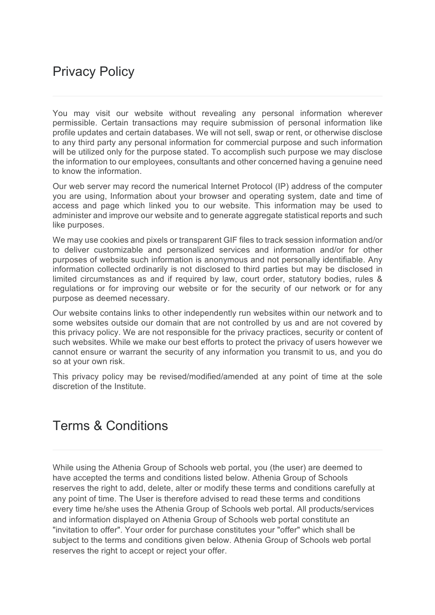## Privacy Policy

You may visit our website without revealing any personal information wherever permissible. Certain transactions may require submission of personal information like profile updates and certain databases. We will not sell, swap or rent, or otherwise disclose to any third party any personal information for commercial purpose and such information will be utilized only for the purpose stated. To accomplish such purpose we may disclose the information to our employees, consultants and other concerned having a genuine need to know the information.

Our web server may record the numerical Internet Protocol (IP) address of the computer you are using, Information about your browser and operating system, date and time of access and page which linked you to our website. This information may be used to administer and improve our website and to generate aggregate statistical reports and such like purposes.

We may use cookies and pixels or transparent GIF files to track session information and/or to deliver customizable and personalized services and information and/or for other purposes of website such information is anonymous and not personally identifiable. Any information collected ordinarily is not disclosed to third parties but may be disclosed in limited circumstances as and if required by law, court order, statutory bodies, rules & regulations or for improving our website or for the security of our network or for any purpose as deemed necessary.

Our website contains links to other independently run websites within our network and to some websites outside our domain that are not controlled by us and are not covered by this privacy policy. We are not responsible for the privacy practices, security or content of such websites. While we make our best efforts to protect the privacy of users however we cannot ensure or warrant the security of any information you transmit to us, and you do so at your own risk.

This privacy policy may be revised/modified/amended at any point of time at the sole discretion of the Institute.

## Terms & Conditions

While using the Athenia Group of Schools web portal, you (the user) are deemed to have accepted the terms and conditions listed below. Athenia Group of Schools reserves the right to add, delete, alter or modify these terms and conditions carefully at any point of time. The User is therefore advised to read these terms and conditions every time he/she uses the Athenia Group of Schools web portal. All products/services and information displayed on Athenia Group of Schools web portal constitute an "invitation to offer". Your order for purchase constitutes your "offer" which shall be subject to the terms and conditions given below. Athenia Group of Schools web portal reserves the right to accept or reject your offer.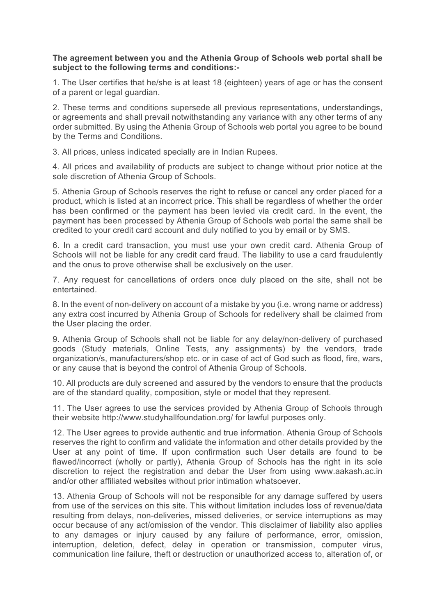## **The agreement between you and the Athenia Group of Schools web portal shall be subject to the following terms and conditions:-**

1. The User certifies that he/she is at least 18 (eighteen) years of age or has the consent of a parent or legal guardian.

2. These terms and conditions supersede all previous representations, understandings, or agreements and shall prevail notwithstanding any variance with any other terms of any order submitted. By using the Athenia Group of Schools web portal you agree to be bound by the Terms and Conditions.

3. All prices, unless indicated specially are in Indian Rupees.

4. All prices and availability of products are subject to change without prior notice at the sole discretion of Athenia Group of Schools.

5. Athenia Group of Schools reserves the right to refuse or cancel any order placed for a product, which is listed at an incorrect price. This shall be regardless of whether the order has been confirmed or the payment has been levied via credit card. In the event, the payment has been processed by Athenia Group of Schools web portal the same shall be credited to your credit card account and duly notified to you by email or by SMS.

6. In a credit card transaction, you must use your own credit card. Athenia Group of Schools will not be liable for any credit card fraud. The liability to use a card fraudulently and the onus to prove otherwise shall be exclusively on the user.

7. Any request for cancellations of orders once duly placed on the site, shall not be entertained.

8. In the event of non-delivery on account of a mistake by you (i.e. wrong name or address) any extra cost incurred by Athenia Group of Schools for redelivery shall be claimed from the User placing the order.

9. Athenia Group of Schools shall not be liable for any delay/non-delivery of purchased goods (Study materials, Online Tests, any assignments) by the vendors, trade organization/s, manufacturers/shop etc. or in case of act of God such as flood, fire, wars, or any cause that is beyond the control of Athenia Group of Schools.

10. All products are duly screened and assured by the vendors to ensure that the products are of the standard quality, composition, style or model that they represent.

11. The User agrees to use the services provided by Athenia Group of Schools through their website http://www.studyhallfoundation.org/ for lawful purposes only.

12. The User agrees to provide authentic and true information. Athenia Group of Schools reserves the right to confirm and validate the information and other details provided by the User at any point of time. If upon confirmation such User details are found to be flawed/incorrect (wholly or partly), Athenia Group of Schools has the right in its sole discretion to reject the registration and debar the User from using www.aakash.ac.in and/or other affiliated websites without prior intimation whatsoever.

13. Athenia Group of Schools will not be responsible for any damage suffered by users from use of the services on this site. This without limitation includes loss of revenue/data resulting from delays, non-deliveries, missed deliveries, or service interruptions as may occur because of any act/omission of the vendor. This disclaimer of liability also applies to any damages or injury caused by any failure of performance, error, omission, interruption, deletion, defect, delay in operation or transmission, computer virus, communication line failure, theft or destruction or unauthorized access to, alteration of, or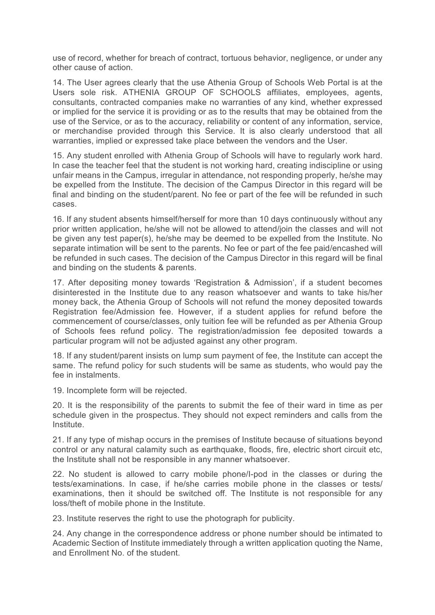use of record, whether for breach of contract, tortuous behavior, negligence, or under any other cause of action.

14. The User agrees clearly that the use Athenia Group of Schools Web Portal is at the Users sole risk. ATHENIA GROUP OF SCHOOLS affiliates, employees, agents, consultants, contracted companies make no warranties of any kind, whether expressed or implied for the service it is providing or as to the results that may be obtained from the use of the Service, or as to the accuracy, reliability or content of any information, service, or merchandise provided through this Service. It is also clearly understood that all warranties, implied or expressed take place between the vendors and the User.

15. Any student enrolled with Athenia Group of Schools will have to regularly work hard. In case the teacher feel that the student is not working hard, creating indiscipline or using unfair means in the Campus, irregular in attendance, not responding properly, he/she may be expelled from the Institute. The decision of the Campus Director in this regard will be final and binding on the student/parent. No fee or part of the fee will be refunded in such cases.

16. If any student absents himself/herself for more than 10 days continuously without any prior written application, he/she will not be allowed to attend/join the classes and will not be given any test paper(s), he/she may be deemed to be expelled from the Institute. No separate intimation will be sent to the parents. No fee or part of the fee paid/encashed will be refunded in such cases. The decision of the Campus Director in this regard will be final and binding on the students & parents.

17. After depositing money towards 'Registration & Admission', if a student becomes disinterested in the Institute due to any reason whatsoever and wants to take his/her money back, the Athenia Group of Schools will not refund the money deposited towards Registration fee/Admission fee. However, if a student applies for refund before the commencement of course/classes, only tuition fee will be refunded as per Athenia Group of Schools fees refund policy. The registration/admission fee deposited towards a particular program will not be adjusted against any other program.

18. If any student/parent insists on lump sum payment of fee, the Institute can accept the same. The refund policy for such students will be same as students, who would pay the fee in instalments.

19. Incomplete form will be rejected.

20. It is the responsibility of the parents to submit the fee of their ward in time as per schedule given in the prospectus. They should not expect reminders and calls from the Institute.

21. If any type of mishap occurs in the premises of Institute because of situations beyond control or any natural calamity such as earthquake, floods, fire, electric short circuit etc, the Institute shall not be responsible in any manner whatsoever.

22. No student is allowed to carry mobile phone/I-pod in the classes or during the tests/examinations. In case, if he/she carries mobile phone in the classes or tests/ examinations, then it should be switched off. The Institute is not responsible for any loss/theft of mobile phone in the Institute.

23. Institute reserves the right to use the photograph for publicity.

24. Any change in the correspondence address or phone number should be intimated to Academic Section of Institute immediately through a written application quoting the Name, and Enrollment No. of the student.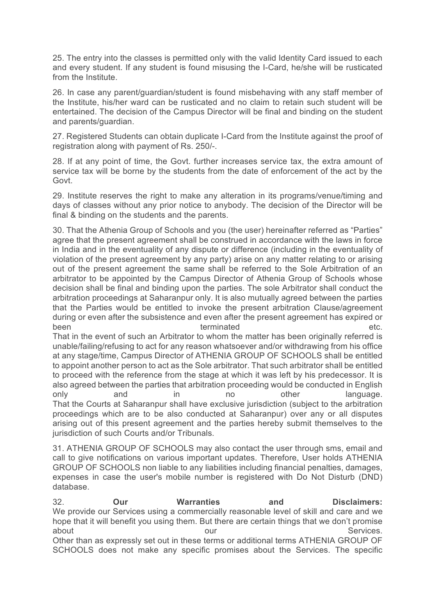25. The entry into the classes is permitted only with the valid Identity Card issued to each and every student. If any student is found misusing the I-Card, he/she will be rusticated from the Institute.

26. In case any parent/guardian/student is found misbehaving with any staff member of the Institute, his/her ward can be rusticated and no claim to retain such student will be entertained. The decision of the Campus Director will be final and binding on the student and parents/guardian.

27. Registered Students can obtain duplicate I-Card from the Institute against the proof of registration along with payment of Rs. 250/-.

28. If at any point of time, the Govt. further increases service tax, the extra amount of service tax will be borne by the students from the date of enforcement of the act by the Govt.

29. Institute reserves the right to make any alteration in its programs/venue/timing and days of classes without any prior notice to anybody. The decision of the Director will be final & binding on the students and the parents.

30. That the Athenia Group of Schools and you (the user) hereinafter referred as "Parties" agree that the present agreement shall be construed in accordance with the laws in force in India and in the eventuality of any dispute or difference (including in the eventuality of violation of the present agreement by any party) arise on any matter relating to or arising out of the present agreement the same shall be referred to the Sole Arbitration of an arbitrator to be appointed by the Campus Director of Athenia Group of Schools whose decision shall be final and binding upon the parties. The sole Arbitrator shall conduct the arbitration proceedings at Saharanpur only. It is also mutually agreed between the parties that the Parties would be entitled to invoke the present arbitration Clause/agreement during or even after the subsistence and even after the present agreement has expired or been terminated etc.

That in the event of such an Arbitrator to whom the matter has been originally referred is unable/failing/refusing to act for any reason whatsoever and/or withdrawing from his office at any stage/time, Campus Director of ATHENIA GROUP OF SCHOOLS shall be entitled to appoint another person to act as the Sole arbitrator. That such arbitrator shall be entitled to proceed with the reference from the stage at which it was left by his predecessor. It is also agreed between the parties that arbitration proceeding would be conducted in English only and in no other language. That the Courts at Saharanpur shall have exclusive jurisdiction (subject to the arbitration proceedings which are to be also conducted at Saharanpur) over any or all disputes arising out of this present agreement and the parties hereby submit themselves to the jurisdiction of such Courts and/or Tribunals.

31. ATHENIA GROUP OF SCHOOLS may also contact the user through sms, email and call to give notifications on various important updates. Therefore, User holds ATHENIA GROUP OF SCHOOLS non liable to any liabilities including financial penalties, damages, expenses in case the user's mobile number is registered with Do Not Disturb (DND) database.

32. **Our Warranties and Disclaimers:** We provide our Services using a commercially reasonable level of skill and care and we hope that it will benefit you using them. But there are certain things that we don't promise about and the services. The services our contract our services. Other than as expressly set out in these terms or additional terms ATHENIA GROUP OF SCHOOLS does not make any specific promises about the Services. The specific